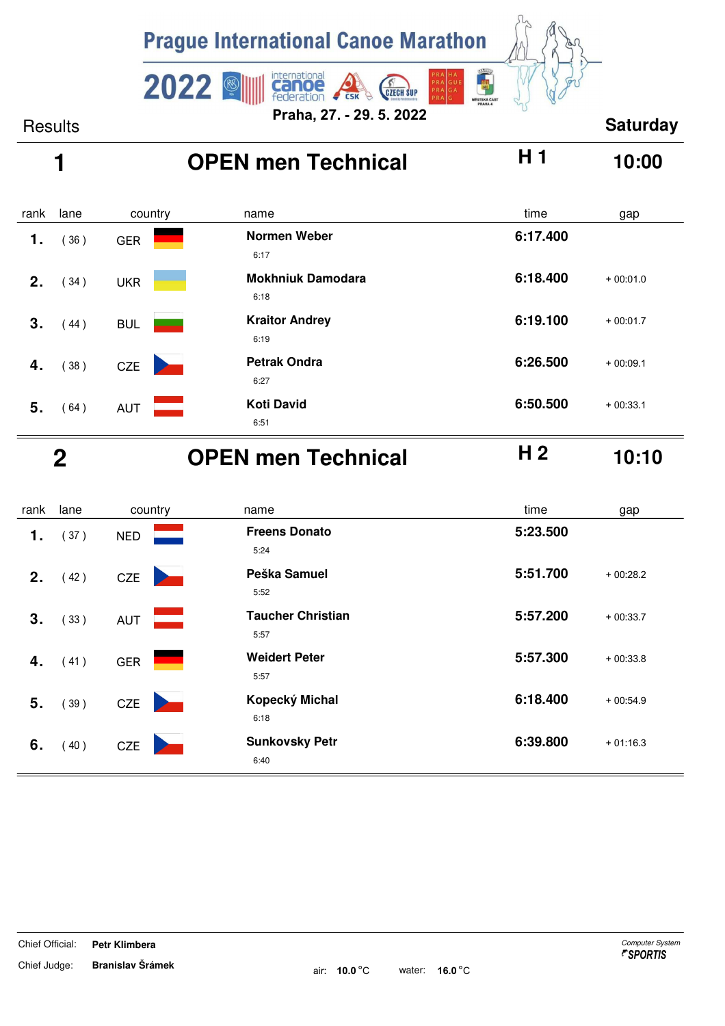

# **1 OPEN men Technical H 1 10:00**

| rank           | lane | country    | name                             | time<br>gap            |  |
|----------------|------|------------|----------------------------------|------------------------|--|
| 1.             | 36)  | <b>GER</b> | <b>Normen Weber</b><br>6:17      | 6:17.400               |  |
| 2 <sub>1</sub> | (34) | <b>UKR</b> | <b>Mokhniuk Damodara</b><br>6:18 | 6:18.400<br>$+00:01.0$ |  |
| 3.             | 44)  | <b>BUL</b> | <b>Kraitor Andrey</b><br>6:19    | 6:19.100<br>$+00:01.7$ |  |
| 4.             | (38) | <b>CZE</b> | <b>Petrak Ondra</b><br>6:27      | 6:26.500<br>$+00:09.1$ |  |
| 5.             | (64) | <b>AUT</b> | <b>Koti David</b><br>6:51        | 6:50.500<br>$+00:33.1$ |  |

### **2 OPEN men Technical H 2 10:10**

| rank | lane | country                      | name                             | time<br>gap            |
|------|------|------------------------------|----------------------------------|------------------------|
| 1.   | (37) | <b>NED</b>                   | <b>Freens Donato</b><br>5:24     | 5:23.500               |
| 2.   | (42) | <b>CZE</b><br><b>Service</b> | Peška Samuel<br>5:52             | 5:51.700<br>$+00:28.2$ |
| 3.   | (33) | <b>AUT</b>                   | <b>Taucher Christian</b><br>5:57 | 5:57.200<br>$+00:33.7$ |
| 4.   | (41) | <b>GER</b>                   | <b>Weidert Peter</b><br>5:57     | 5:57.300<br>$+00:33.8$ |
| 5.   | (39) | CZE                          | Kopecký Michal<br>6:18           | 6:18.400<br>$+00:54.9$ |
| 6.   | (40) | <b>CZE</b>                   | <b>Sunkovsky Petr</b><br>6:40    | 6:39.800<br>$+01:16.3$ |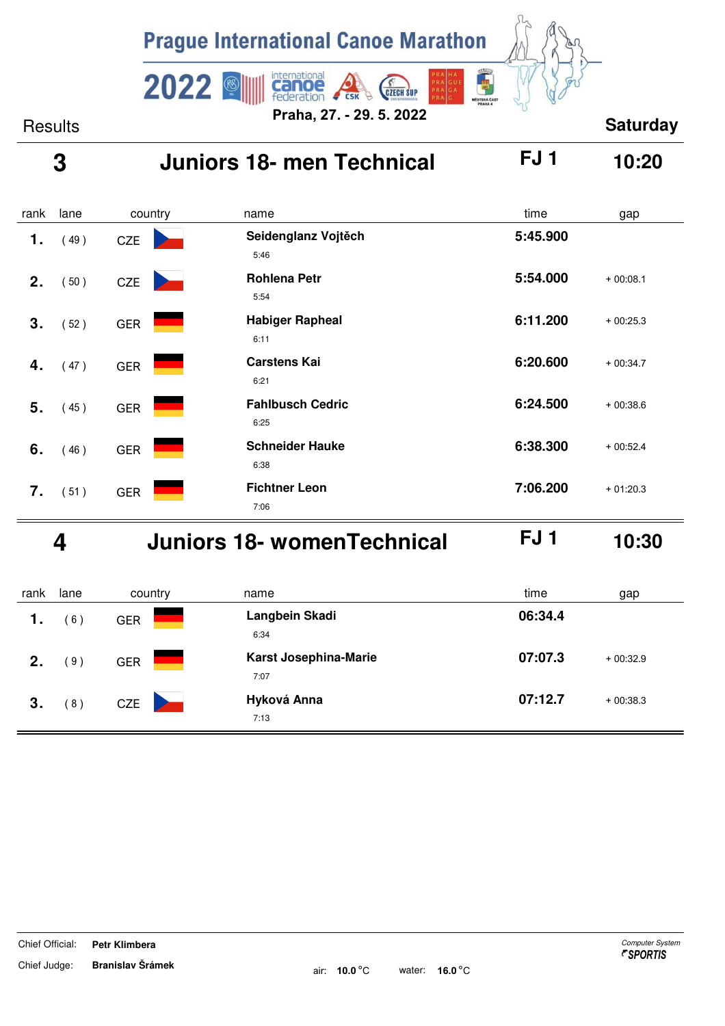

### **3 Juniors 18- men Technical FJ 1 10:20**

| rank | lane | country    | name                            | time     | gap        |
|------|------|------------|---------------------------------|----------|------------|
| 1.   | (49) | CZE        | Seidenglanz Vojtěch<br>5:46     | 5:45.900 |            |
| 2.   | (50) | <b>CZE</b> | <b>Rohlena Petr</b><br>5:54     | 5:54.000 | $+00:08.1$ |
| 3.   | (52) | <b>GER</b> | <b>Habiger Rapheal</b><br>6:11  | 6:11.200 | $+00:25.3$ |
| 4.   | (47) | <b>GER</b> | <b>Carstens Kai</b><br>6:21     | 6:20.600 | $+00:34.7$ |
| 5.   | (45) | <b>GER</b> | <b>Fahlbusch Cedric</b><br>6:25 | 6:24.500 | $+00:38.6$ |
| 6.   | (46) | <b>GER</b> | <b>Schneider Hauke</b><br>6:38  | 6:38.300 | $+00:52.4$ |
| 7.   | (51) | <b>GER</b> | <b>Fichtner Leon</b><br>7:06    | 7:06.200 | $+01:20.3$ |

 **4 Juniors 18- womenTechnical FJ 1 10:30**

| rank | lane | country    | name                          | time    | gap        |
|------|------|------------|-------------------------------|---------|------------|
| 1.   | 6)   | <b>GER</b> | Langbein Skadi<br>6:34        | 06:34.4 |            |
| 2.   | 9)   | <b>GER</b> | Karst Josephina-Marie<br>7:07 | 07:07.3 | $+00:32.9$ |
| 3.   | (8)  | <b>CZE</b> | Hyková Anna<br>7:13           | 07:12.7 | $+00:38.3$ |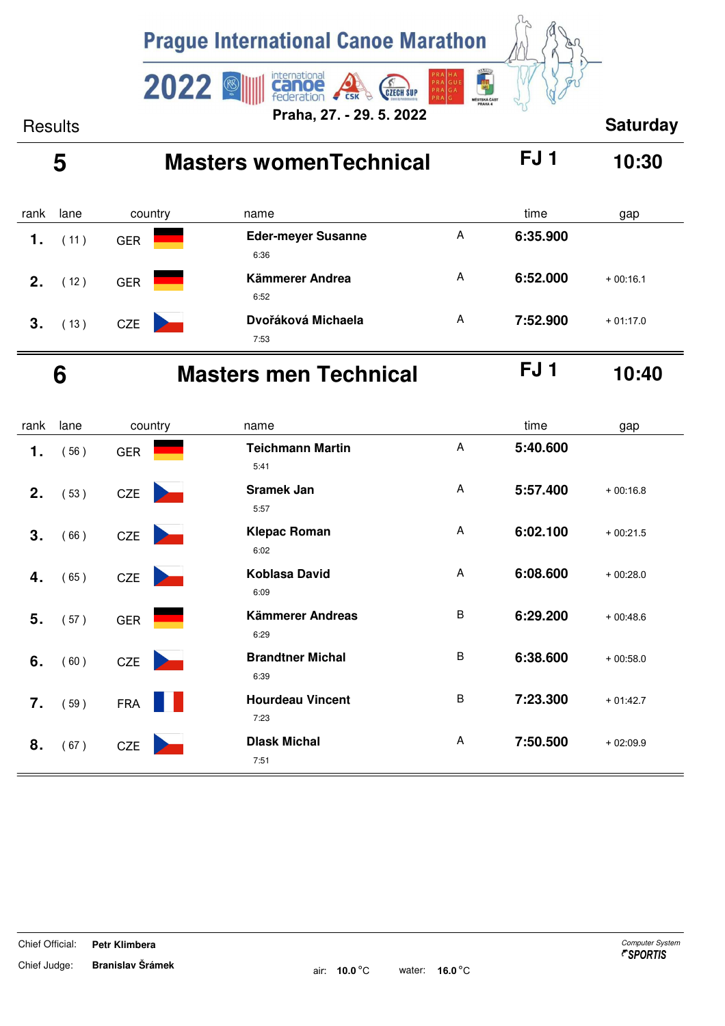

| rank        | lane | country    | name                              |   | time     | gap        |
|-------------|------|------------|-----------------------------------|---|----------|------------|
|             | (11) | <b>GER</b> | <b>Eder-meyer Susanne</b><br>6:36 | A | 6:35.900 |            |
| $\mathbf 2$ | 12)  | <b>GER</b> | Kämmerer Andrea<br>6:52           | A | 6:52.000 | $+00:16.1$ |
| 3.          | (13) | <b>CZE</b> | Dvořáková Michaela<br>7:53        | A | 7:52.900 | $+01:17.0$ |

# **6 Masters men Technical FJ 1 10:40**

| rank | lane | country                                       | name                            |         | time     | gap        |
|------|------|-----------------------------------------------|---------------------------------|---------|----------|------------|
| 1.   | (56) | <b>GER</b>                                    | <b>Teichmann Martin</b><br>5:41 | A       | 5:40.600 |            |
| 2.   | (53) | <b>CZE</b>                                    | Sramek Jan<br>5:57              | A       | 5:57.400 | $+00:16.8$ |
| 3.   | (66) | CZE<br><b>The Common Service</b>              | <b>Klepac Roman</b><br>6:02     | A       | 6:02.100 | $+00:21.5$ |
| 4.   | (65) | <b>CZE</b><br><b>Contract Contract Street</b> | Koblasa David<br>6:09           | A       | 6:08.600 | $+00:28.0$ |
| 5.   | (57) | <b>GER</b>                                    | Kämmerer Andreas<br>6:29        | $\sf B$ | 6:29.200 | $+00:48.6$ |
| 6.   | (60) | <b>CZE</b>                                    | <b>Brandtner Michal</b><br>6:39 | B       | 6:38.600 | $+00:58.0$ |
| 7.   | (59) | <b>FRA</b>                                    | <b>Hourdeau Vincent</b><br>7:23 | $\sf B$ | 7:23.300 | $+01:42.7$ |
| 8.   | (67) | CZE                                           | <b>Dlask Michal</b><br>7:51     | A       | 7:50.500 | $+02:09.9$ |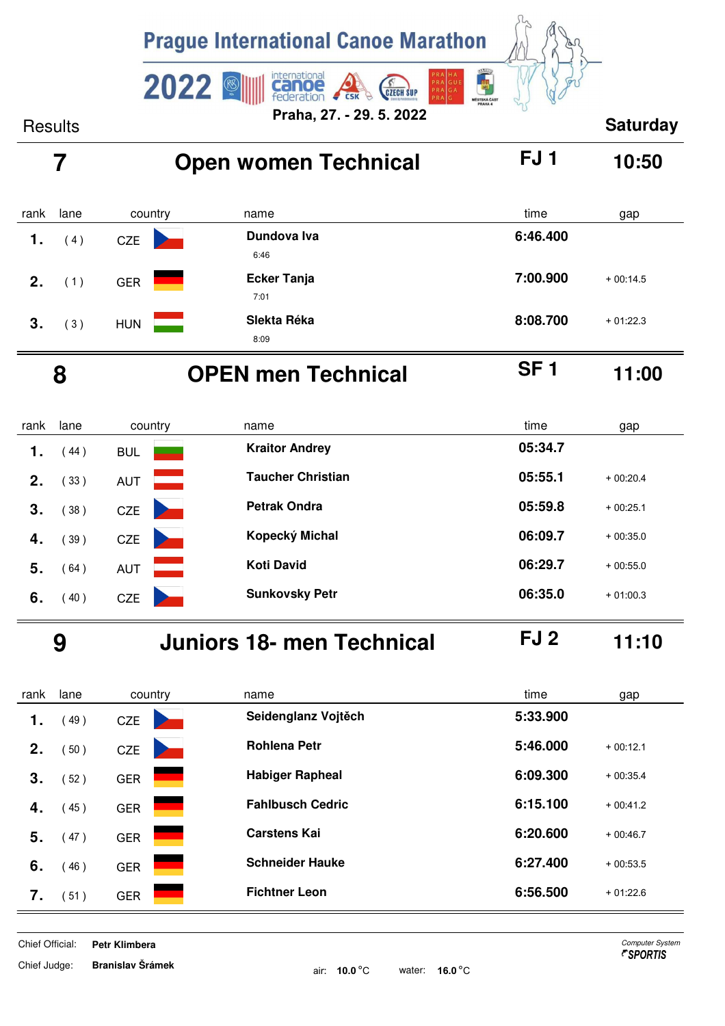![](_page_3_Picture_0.jpeg)

| rank | lane | country    | name                       | time<br>gap            |
|------|------|------------|----------------------------|------------------------|
| 1.   | 4)   | <b>CZE</b> | Dundova Iva<br>6:46        | 6:46.400               |
| 2.   | (1)  | <b>GER</b> | <b>Ecker Tanja</b><br>7:01 | 7:00.900<br>$+00:14.5$ |
| 3.   | (3)  | <b>HUN</b> | Slekta Réka<br>8:09        | 8:08.700<br>$+01:22.3$ |

# **8 OPEN men Technical SF 1 11:00**

rank lane name country time gap  **1.** (44) **BUL <b>COLL Reserves Kraitor Andrey 1.** (44) **05:34.7 2.** (33) AUT **Taucher Christian 12. 05:55.1** + 00:20.4  **3.** ( 38 ) **CZE 2. Petrak Ondra CZE <b>05:59.8** + 00:25.1  **4.** ( 39 ) **CZE 1. Kopecký Michal 1. 06:09.7** + 00:35.0 **5.** (64) AUT **Koti David 19. 106:29.7** + 00:55.0 **6.** (40) CZE **21 Sunkovsky Petr 06:35.0** + 01:00.3

 **9 Juniors 18- men Technical FJ 2 11:10**

| rank | lane | country    | name                    | time     | gap        |
|------|------|------------|-------------------------|----------|------------|
| 1.   | 49)  | <b>CZE</b> | Seidenglanz Vojtěch     | 5:33.900 |            |
| 2.   | 50)  | <b>CZE</b> | <b>Rohlena Petr</b>     | 5:46.000 | $+00:12.1$ |
| 3.   | 52)  | <b>GER</b> | <b>Habiger Rapheal</b>  | 6:09.300 | $+00:35.4$ |
| 4.   | 45)  | <b>GER</b> | <b>Fahlbusch Cedric</b> | 6:15.100 | $+00:41.2$ |
| 5.   | 47)  | <b>GER</b> | <b>Carstens Kai</b>     | 6:20.600 | $+00:46.7$ |
| 6.   | 46)  | <b>GER</b> | <b>Schneider Hauke</b>  | 6:27.400 | $+00:53.5$ |
| 7.   | 51)  | <b>GER</b> | <b>Fichtner Leon</b>    | 6:56.500 | $+01:22.6$ |

Chief Official: **Petr Klimbera** Computer System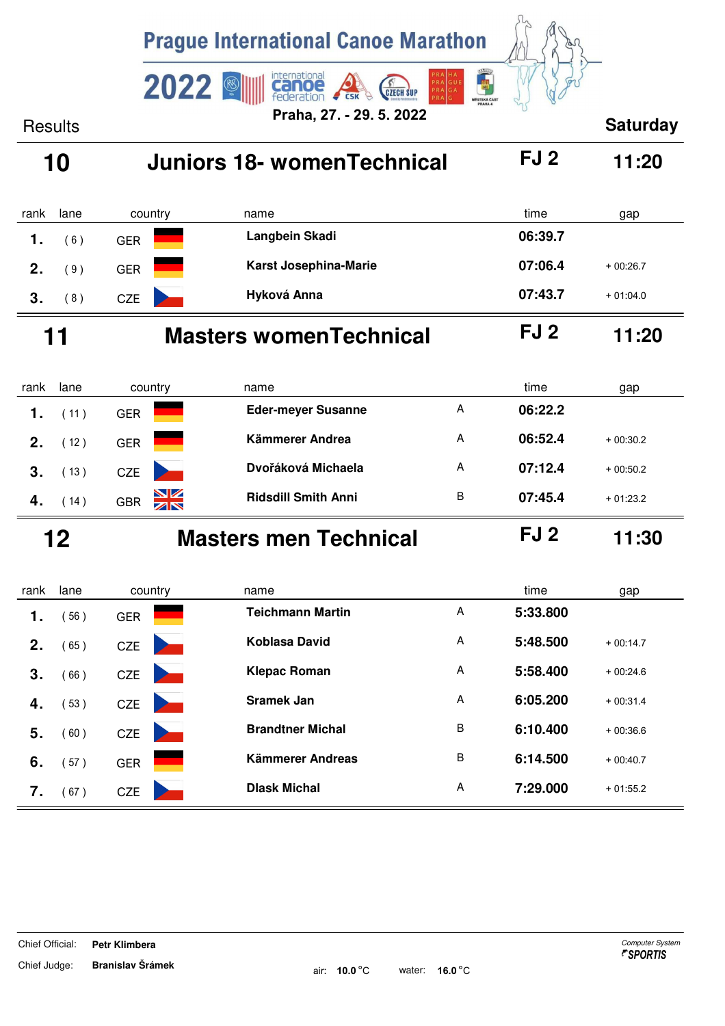|                | <b>Prague International Canoe Marathon</b> |            |                 |                                              |                                |                 |                 |
|----------------|--------------------------------------------|------------|-----------------|----------------------------------------------|--------------------------------|-----------------|-----------------|
|                |                                            |            | 2022            | international<br><b>GZECH SUP</b><br>eration | $\overline{1}$<br>GUE<br>PRAGA |                 |                 |
| <b>Results</b> |                                            |            |                 | Praha, 27. - 29. 5. 2022                     | MÉSTSKÁ ČÁST                   |                 | <b>Saturday</b> |
|                | 10                                         |            |                 | <b>Juniors 18- womenTechnical</b>            |                                | FJ 2            | 11:20           |
|                |                                            |            |                 |                                              |                                |                 |                 |
| rank           | lane                                       | country    |                 | name                                         |                                | time            | gap             |
| 1.             | (6)                                        | <b>GER</b> |                 | Langbein Skadi                               |                                | 06:39.7         |                 |
| 2.             | (9)                                        | <b>GER</b> |                 | Karst Josephina-Marie                        |                                | 07:06.4         | $+00:26.7$      |
| 3.             | (8)                                        | <b>CZE</b> |                 | Hyková Anna                                  |                                | 07:43.7         | $+01:04.0$      |
|                | 11                                         |            |                 | <b>Masters womenTechnical</b>                |                                | FJ <sub>2</sub> | 11:20           |
|                |                                            |            |                 |                                              |                                |                 |                 |
| rank           | lane                                       |            | country         | name<br><b>Eder-meyer Susanne</b>            | A                              | time<br>06:22.2 | gap             |
| 1.             | (11)                                       | <b>GER</b> |                 |                                              |                                |                 |                 |
| 2.             | (12)                                       | <b>GER</b> |                 | Kämmerer Andrea                              | A                              | 06:52.4         | $+00:30.2$      |
| 3.             | (13)                                       | <b>CZE</b> |                 | Dvořáková Michaela                           | A                              | 07:12.4         | $+00:50.2$      |
| 4.             | (14)                                       | <b>GBR</b> | <u>NZ</u><br>ZN | <b>Ridsdill Smith Anni</b>                   | B                              | 07:45.4         | $+01:23.2$      |
|                | 12                                         |            |                 | <b>Masters men Technical</b>                 |                                | FJ 2            | 11:30           |
| rank           | lane                                       |            | country         | name                                         |                                | time            | gap             |
| 1.             | (56)                                       | <b>GER</b> |                 | <b>Teichmann Martin</b>                      | Α                              | 5:33.800        |                 |
| 2.             | (65)                                       | <b>CZE</b> |                 | Koblasa David                                | Α                              | 5:48.500        | $+00:14.7$      |
| 3.             | (66)                                       | <b>CZE</b> |                 | <b>Klepac Roman</b>                          | Α                              | 5:58.400        | $+00:24.6$      |
|                |                                            |            |                 | <b>Sramek Jan</b>                            | Α                              | 6:05.200        | $+00:31.4$      |
| 4.             | (53)                                       | <b>CZE</b> |                 | <b>Brandtner Michal</b>                      | B                              | 6:10.400        |                 |
| 5.             | (60)                                       | <b>CZE</b> |                 |                                              |                                |                 | $+00:36.6$      |
| 6.             | (57)                                       | <b>GER</b> |                 | Kämmerer Andreas                             | $\sf B$                        | 6:14.500        | $+00:40.7$      |
| 7.             | (67)                                       | CZE        |                 | <b>Dlask Michal</b>                          | Α                              | 7:29.000        | $+01:55.2$      |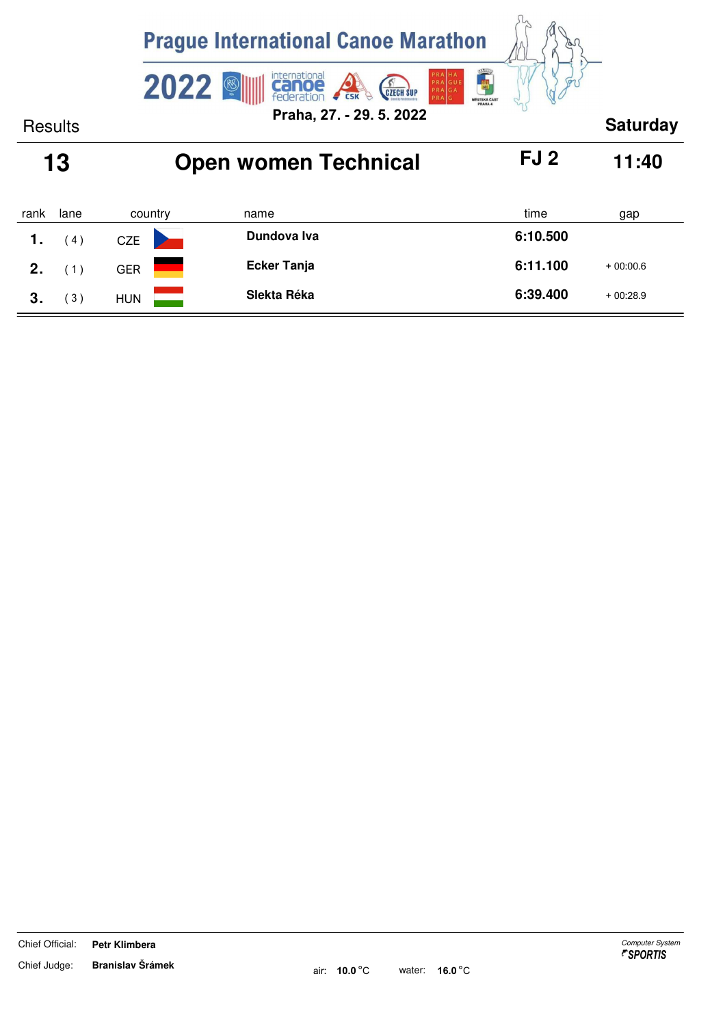|                |      | <b>Prague International Canoe Marathon</b> |                                                                                            |                               |                 |
|----------------|------|--------------------------------------------|--------------------------------------------------------------------------------------------|-------------------------------|-----------------|
|                |      | 2022                                       | international<br>PR/<br>PRAGUE<br>$\circledast$<br>PRAGA<br><b>CZECH SUP</b><br><b>CSK</b> | 高潮<br>MĚSTSKÁ ČÁST<br>PRAHA 4 |                 |
| <b>Results</b> |      |                                            | Praha, 27. - 29. 5. 2022                                                                   |                               | <b>Saturday</b> |
|                | 13   |                                            | <b>Open women Technical</b>                                                                | FJ <sub>2</sub>               | 11:40           |
| rank           | lane | country                                    | name                                                                                       | time                          | gap             |
| 1.             | (4)  | <b>CZE</b>                                 | Dundova Iva                                                                                | 6:10.500                      |                 |
| 2.             | (1)  | <b>GER</b>                                 | <b>Ecker Tanja</b>                                                                         | 6:11.100                      | $+00:00.6$      |
| 3.             | (3)  | <b>HUN</b>                                 | Slekta Réka                                                                                | 6:39.400                      | $+00:28.9$      |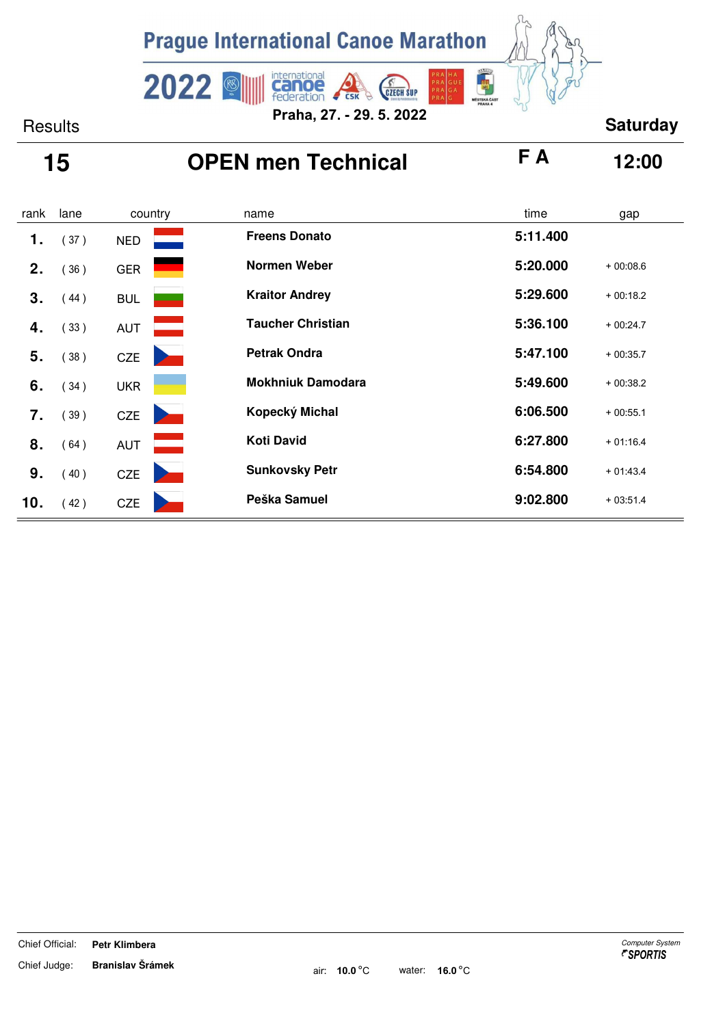![](_page_6_Picture_0.jpeg)

# **15 OPEN men Technical F A 12:00**

| rank | lane | country                      | name                     | time<br>gap            |
|------|------|------------------------------|--------------------------|------------------------|
| 1.   | (37) | <b>NED</b>                   | <b>Freens Donato</b>     | 5:11.400               |
| 2.   | 36)  | <b>GER</b>                   | Normen Weber             | 5:20.000<br>$+00:08.6$ |
| 3.   | (44) | <b>BUL</b>                   | <b>Kraitor Andrey</b>    | 5:29.600<br>$+00:18.2$ |
| 4.   | (33) | <b>AUT</b>                   | <b>Taucher Christian</b> | 5:36.100<br>$+00:24.7$ |
| 5.   | (38) | CZE                          | <b>Petrak Ondra</b>      | 5:47.100<br>$+00:35.7$ |
| 6.   | (34) | <b>UKR</b>                   | <b>Mokhniuk Damodara</b> | 5:49.600<br>$+00:38.2$ |
| 7.   | (39) | <b>CZE</b>                   | Kopecký Michal           | 6:06.500<br>$+00:55.1$ |
| 8.   | (64) | <b>AUT</b>                   | <b>Koti David</b>        | 6:27.800<br>$+01:16.4$ |
| 9.   | (40) | <b>CZE</b><br><b>Service</b> | <b>Sunkovsky Petr</b>    | 6:54.800<br>$+01:43.4$ |
| 10.  | (42) | <b>CZE</b>                   | Peška Samuel             | 9:02.800<br>$+03:51.4$ |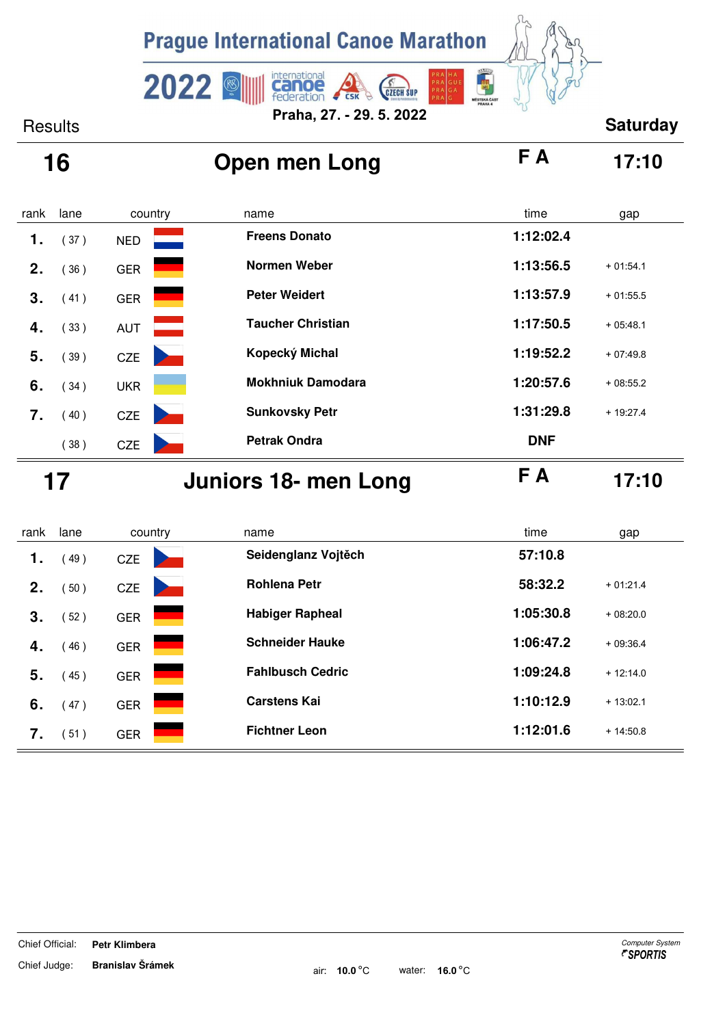![](_page_7_Picture_0.jpeg)

# **16 Open men Long F A 17:10**

| rank | lane | country    | name                     | time<br>gap             |
|------|------|------------|--------------------------|-------------------------|
| 1.   | (37) | <b>NED</b> | <b>Freens Donato</b>     | 1:12:02.4               |
| 2.   | (36) | <b>GER</b> | <b>Normen Weber</b>      | 1:13:56.5<br>$+01:54.1$ |
| 3.   | (41) | <b>GER</b> | <b>Peter Weidert</b>     | 1:13:57.9<br>$+01:55.5$ |
| 4.   | (33) | <b>AUT</b> | <b>Taucher Christian</b> | 1:17:50.5<br>$+05:48.1$ |
| 5.   | (39) | <b>CZE</b> | Kopecký Michal           | 1:19:52.2<br>$+07:49.8$ |
| 6.   | (34) | <b>UKR</b> | <b>Mokhniuk Damodara</b> | 1:20:57.6<br>$+08:55.2$ |
| 7.   | (40) | <b>CZE</b> | <b>Sunkovsky Petr</b>    | 1:31:29.8<br>$+19:27.4$ |
|      | (38) | <b>CZE</b> | <b>Petrak Ondra</b>      | <b>DNF</b>              |

 **17 Juniors 18- men Long F A 17:10**

| 57:10.8<br>Seidenglanz Vojtěch<br>49)<br>1.<br><b>CZE</b><br>58:32.2<br><b>Rohlena Petr</b><br>$+01:21.4$<br>2.<br>50)<br><b>CZE</b><br>1:05:30.8<br><b>Habiger Rapheal</b><br>$+08:20.0$<br>3.<br>(52)<br><b>GER</b><br>1:06:47.2<br><b>Schneider Hauke</b><br>$+09:36.4$<br>46)<br>4.<br><b>GER</b><br><b>Fahlbusch Cedric</b><br>1:09:24.8<br>$+12:14.0$<br>5.<br>45)<br><b>GER</b><br>1:10:12.9<br><b>Carstens Kai</b><br>$+13:02.1$<br>6.<br>47)<br><b>GER</b><br>1:12:01.6<br><b>Fichtner Leon</b><br>$+14:50.8$<br>7.<br><b>GER</b><br>51) | rank | lane | country | name | time<br>gap |  |
|---------------------------------------------------------------------------------------------------------------------------------------------------------------------------------------------------------------------------------------------------------------------------------------------------------------------------------------------------------------------------------------------------------------------------------------------------------------------------------------------------------------------------------------------------|------|------|---------|------|-------------|--|
|                                                                                                                                                                                                                                                                                                                                                                                                                                                                                                                                                   |      |      |         |      |             |  |
|                                                                                                                                                                                                                                                                                                                                                                                                                                                                                                                                                   |      |      |         |      |             |  |
|                                                                                                                                                                                                                                                                                                                                                                                                                                                                                                                                                   |      |      |         |      |             |  |
|                                                                                                                                                                                                                                                                                                                                                                                                                                                                                                                                                   |      |      |         |      |             |  |
|                                                                                                                                                                                                                                                                                                                                                                                                                                                                                                                                                   |      |      |         |      |             |  |
|                                                                                                                                                                                                                                                                                                                                                                                                                                                                                                                                                   |      |      |         |      |             |  |
|                                                                                                                                                                                                                                                                                                                                                                                                                                                                                                                                                   |      |      |         |      |             |  |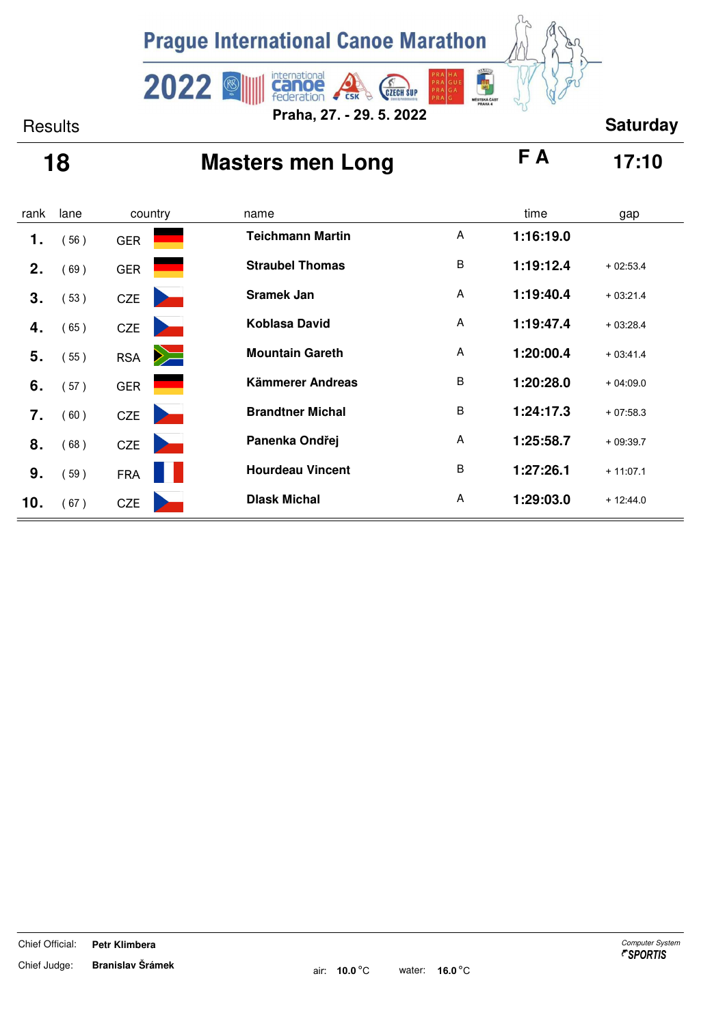![](_page_8_Picture_0.jpeg)

# **18 Masters men Long F A 17:10**

| rank | lane | country                                                  | name                    |         | time      | gap        |
|------|------|----------------------------------------------------------|-------------------------|---------|-----------|------------|
| 1.   | (56) | <b>GER</b>                                               | <b>Teichmann Martin</b> | A       | 1:16:19.0 |            |
| 2.   | (69) | <b>GER</b>                                               | <b>Straubel Thomas</b>  | $\sf B$ | 1:19:12.4 | $+02:53.4$ |
| 3.   | (53) | <b>CZE</b><br><b>Service</b>                             | <b>Sramek Jan</b>       | A       | 1:19:40.4 | $+03:21.4$ |
| 4.   | (65) | <b>CZE</b><br><b>Contract Contract Contract Contract</b> | <b>Koblasa David</b>    | A       | 1:19:47.4 | $+03:28.4$ |
| 5.   | (55) | $\geq$<br><b>RSA</b>                                     | <b>Mountain Gareth</b>  | A       | 1:20:00.4 | $+03:41.4$ |
| 6.   | (57) | <b>GER</b>                                               | Kämmerer Andreas        | $\sf B$ | 1:20:28.0 | $+04:09.0$ |
| 7.   | (60) | <b>CZE</b>                                               | <b>Brandtner Michal</b> | B       | 1:24:17.3 | $+07:58.3$ |
| 8.   | (68) | <b>CZE</b><br><b>Service</b>                             | Panenka Ondřej          | A       | 1:25:58.7 | $+09:39.7$ |
| 9.   | (59) | <b>FRA</b>                                               | <b>Hourdeau Vincent</b> | $\sf B$ | 1:27:26.1 | $+11:07.1$ |
| 10.  | (67) | <b>CZE</b>                                               | <b>Dlask Michal</b>     | A       | 1:29:03.0 | $+12:44.0$ |